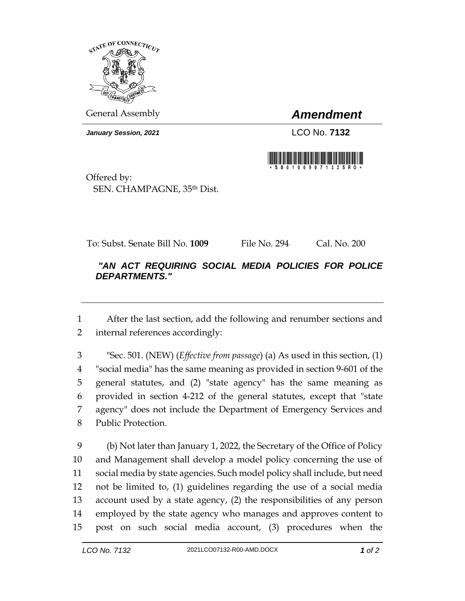

General Assembly *Amendment*

*January Session, 2021* LCO No. **7132**



Offered by: SEN. CHAMPAGNE, 35th Dist.

To: Subst. Senate Bill No. **1009** File No. 294 Cal. No. 200

## *"AN ACT REQUIRING SOCIAL MEDIA POLICIES FOR POLICE DEPARTMENTS."*

 After the last section, add the following and renumber sections and internal references accordingly:

 "Sec. 501. (NEW) (*Effective from passage*) (a) As used in this section, (1) "social media" has the same meaning as provided in section 9-601 of the general statutes, and (2) "state agency" has the same meaning as provided in section 4-212 of the general statutes, except that "state agency" does not include the Department of Emergency Services and Public Protection.

 (b) Not later than January 1, 2022, the Secretary of the Office of Policy and Management shall develop a model policy concerning the use of social media by state agencies. Such model policy shall include, but need not be limited to, (1) guidelines regarding the use of a social media account used by a state agency, (2) the responsibilities of any person employed by the state agency who manages and approves content to post on such social media account, (3) procedures when the